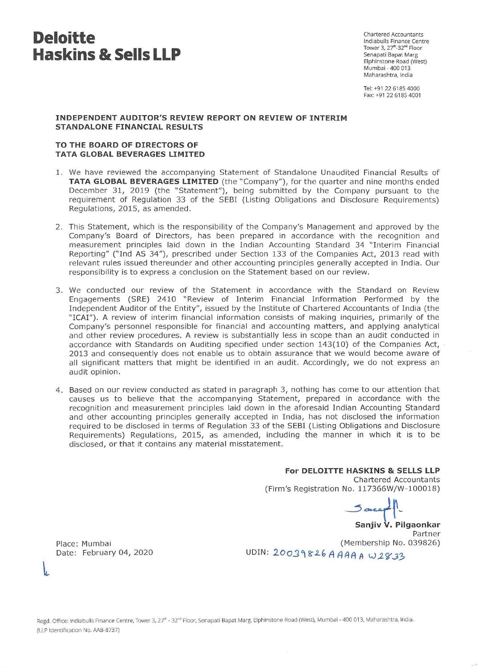# **Deloitte Haskins & Sells LLP**

Chartered Accountants lndiabulls Finance Centre Tower 3, 27<sup>th</sup>-32<sup>nd</sup> Floor Senapati Bapat Marg Elphinstone Road (West) Mumbai - 400 013 Maharashtra, India

Tel: +91 22 6185 4000 Fax: +91 22 6185 4001

# **INDEPENDENT AUDITOR'S REVIEW REPORT ON REVIEW OF INTERIM STANDALONE FINANCIAL RESULTS**

# **TO THE BOARD OF DIRECTORS OF TATA GLOBAL BEVERAGES LIMITED**

- 1. We have reviewed the accompanying Statement of Standalone Unaudited Financial Results of **TATA GLOBAL BEVERAGES LIMITED** (the "Company"), for the quarter and nine months ended December 31, 2019 (the "Statement"), being submitted by the Company pursuant to the requirement of Regulation 33 of the SEBI (Listing Obligations and Disclosure Requirements) Regulations, 2015, as amended.
- 2. This Statement, which is the responsibility of the Company's Management and approved by the Company's Board of Directors, has been prepared in accordance with the recognition and measurement principles laid down in the Indian Accounting Standard 34 "Interim Financial Reporting" ("Ind AS 34"), prescribed under Section 133 of the Companies Act, 2013 read with relevant rules issued thereunder and other accounting principles generally accepted in India. Our responsibility is to express a conclusion on the Statement based on our review.
- 3. We conducted our review of the Statement in accordance with the Standard on Review Engagements (SRE) 2410 "Review of Interim Financial Information Performed by the Independent Auditor of the Entity", issued by the Institute of Chartered Accountants of India (the "ICAI"). A review of interim financial information consists of making inquiries, primarily of the Company's personnel responsible for financial and accounting matters, and applying analytical and other review procedures. A review is substantially less in scope than an audit conducted in accordance with Standards on Auditing specified under section 143(10) of the Companies Act, 2013 and consequently does not enable us to obtain assurance that we would become aware of all significant matters that might be identified in an audit. Accordingly, we do not express an audit opinion.
- 4 . Based on our review conducted as stated in paragraph 3, nothing has come to our attention that causes us to believe that the accompanying Statement, prepared in accordance with the recognition and measurement principles laid down in the aforesaid Indian Accounting Standard and other accounting principles generally accepted in India, has not disclosed the information required to be disclosed in terms of Regulation 33 of the SEBI (Listing Obligations and Disclosure Requirements) Regulations, 2015, as amended, including the manner in which it is to be disclosed, or that it contains any material misstatement.

**For DELOITTE HASKINS & SELLS LLP** 

Chartered Accountants (Firm's Registration No. 117366W/W- 100018)

 $J$ areep

**Sanjiv V. Pilgaonkar**  Partner (Membership No. 039826) uDIN: 20039826 A AAA A W2833

Place: Mumbai Date: February 04, 2020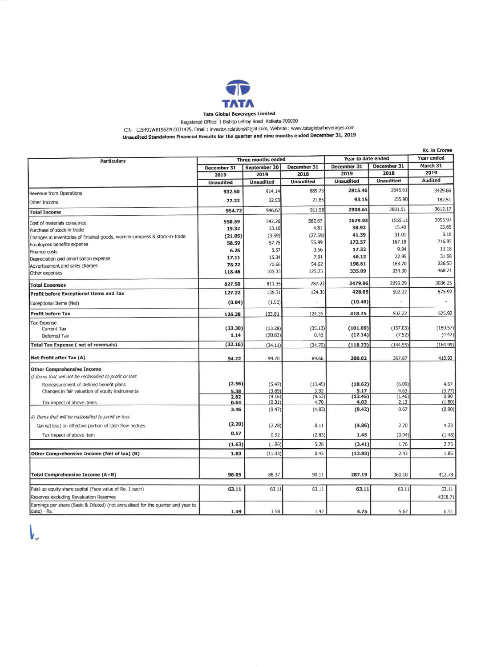

## Tata Global Beverages Limited

Registered Office: 1 BishOp Lefroy Road Kolkata-700020

CIN - Ll5491WB1962PLC031425, Email : investor.relations@tgbl.com, Website: www.tataglobalbeverages.com

Unaudited Standalone Financial Results for the quarter and nine months ended December 31, 2019

|                                                                                                 |                           |                  |                  |                    |                  | <b>Rs. in Crores</b> |
|-------------------------------------------------------------------------------------------------|---------------------------|------------------|------------------|--------------------|------------------|----------------------|
| <b>Particulars</b>                                                                              | <b>Three months ended</b> |                  |                  | Year to date ended |                  | Year ended           |
|                                                                                                 | December 31               | September 30     | December 31      | December 31        | December 31      | March 31             |
|                                                                                                 | 2019                      | 2019             | 2018             | 2019               | 2018             | 2019                 |
|                                                                                                 | <b>Unaudited</b>          | <b>Unaudited</b> | <b>Unaudited</b> | <b>Unaudited</b>   | <b>Unaudited</b> | Audited              |
| Revenue from Operations                                                                         | 932.50                    | 914.14           | 889.73           | 2815.46            | 2645.61          | 3429.66              |
| Other Income                                                                                    | 22.22                     | 32.53            | 21.85            | 93.15              | 155.90           | 182.51               |
| <b>Total Income</b>                                                                             | 954.72                    | 946.67           | 911.58           | 2908.61            | 2801.51          | 3612.17              |
| Cost of materials consumed                                                                      | 550.59                    | 547.20           | 562.67           | 1629.93            | 1555.11          | 2055.97              |
| Purchase of stock-in-trade                                                                      | 19.32                     | 13.10            | 4.81             | 38.92              | 15.40            | 23.65                |
| Changes in inventories of finished goods, work-in-progress & stock-in-trade                     | (21.05)                   | (3.59)           | (27.59)          | 41.39              | 31.01            | 0.16                 |
| Employees benefits expense                                                                      | 58.59                     | 57.75            | 55.99            | 172.57             | 167.18           | 216.85               |
| Finance costs                                                                                   | 6.26                      | 5.57             | 3.56             | 17.32              | 9.94             | 13.18                |
| Depreciation and amortisation expense                                                           | 17.11                     | 15.34            | 7.91             | 46.13              | 22.95            | 31.68                |
|                                                                                                 | 78.22                     | 70.66            | 54.62            | 198.61             | 163.70           | 226.55               |
| Advertisement and sales charges<br>Other expenses                                               | 118.46                    | 105.33           | 125.25           | 335.09             | 334.00           | 468.21               |
| <b>Total Expenses</b>                                                                           | 827.50                    | 811.36           | 787.22           | 2479.96            | 2299.29          | 3036.25              |
| Profit before Exceptional Items and Tax                                                         | 127.22                    | 135.31           | 124.36           | 428.65             | 502.22           | 575.92               |
| Exceptional Items (Net)                                                                         | (0.84)                    | (1.50)           |                  | (10.40)            |                  |                      |
| <b>Profit before Tax</b>                                                                        | 126.38                    | 133.81           | 124.36           | 418.25             | 502.22           | 575.92               |
| <b>Tax Expense</b>                                                                              |                           |                  |                  |                    |                  |                      |
| Current Tax                                                                                     | (33.30)                   | (13.28)          | (35.13)          | (101.09)           | (137.03)         | (160.57)             |
| Deferred Tax                                                                                    | 1.14                      | (20.83)          | 0.43             | (17.14)            | (7.52)           | (4.42)               |
| <b>Total Tax Expense (net of reversals)</b>                                                     | (32.16)                   | (34.11)          | (34.70)          | (118.23)           | (144.55)         | (164.99)             |
|                                                                                                 |                           |                  |                  |                    |                  |                      |
| Net Profit after Tax (A)                                                                        | 94.22                     | 99.70            | 89.66            | 300.02             | 357.67           | 410.93               |
| <b>Other Comprehensive Income</b>                                                               |                           |                  |                  |                    |                  |                      |
| i) Items that will not be reclassified to profit or loss                                        |                           |                  |                  |                    |                  |                      |
| Remeasurement of defined benefit plans                                                          | (2.56)                    | (5.47)           | (13.45)          | (18.62)            | (6.09)           | 4.67                 |
| Changes in fair valuation of equity instruments                                                 | 5.38                      | (3.69)           | 3.92             | 5.17               | 4.63             | (3.77)               |
| Tax impact of above items                                                                       | 2.82<br>0.64              | (9.16)<br>(0.31) | (9.53)<br>4.70   | (13.45)<br>4.03    | (1.46)<br>2.13   | 0.90<br>(1.80)       |
|                                                                                                 | 3.46                      | (9.47)           | (4.83)           | (9.42)             | 0.67             | (0.90)               |
| ii) Items that will be reclassified to profit or loss                                           |                           |                  |                  |                    |                  |                      |
| Gains/(loss) on effective portion of cash flow hedges                                           | (2.20)                    | (2.78)           | 8.11             | (4.86)             | 2.70             | 4.23                 |
| Tax impact of above item                                                                        | 0.57                      | 0.92             | (2.83)           | 1.45               | (0.94)           | (1.48)               |
|                                                                                                 | (1.63)                    | (1.86)           | 5.28             | (3.41)             | 1.76             | 2.75                 |
| Other Comprehensive Income (Net of tax) (B)                                                     | 1.83                      | (11.33)          | 0.45             | (12.83)            | 2.43             | 1.85                 |
|                                                                                                 |                           |                  |                  |                    |                  |                      |
| Total Comprehensive Income (A+B)                                                                | 96.05                     | 88.37            | 90.11            | 287.19             | 360.10           | 412.78               |
|                                                                                                 |                           |                  |                  |                    |                  |                      |
| Paid-up equity share capital (Face value of Re. 1 each)                                         | 63.11                     | 63.11            | 63.11            | 63.11              | 63.11            | 63.11                |
| Reserves excluding Revaluation Reserves                                                         |                           |                  |                  |                    |                  | 4358.71              |
| Earnings per share (Basic & Diluted) (not annualised for the quarter and year to<br>date) - Rs. | 1.49                      | 1.58             | 1.42             | 4.75               | 5.67             | 6.51                 |

 $\mathsf{L}$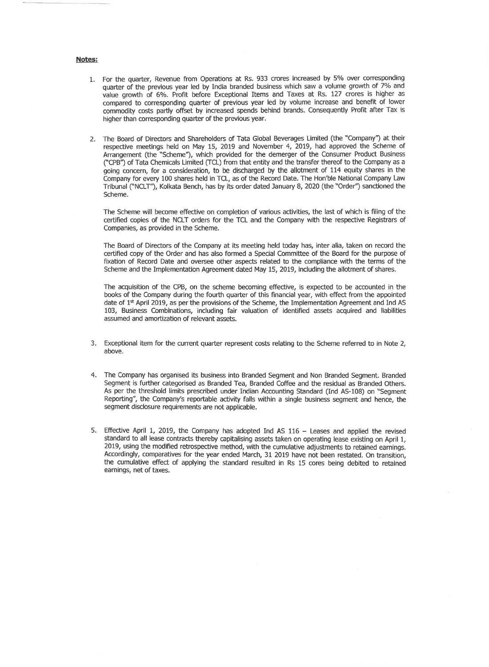#### Notes:

- 1. For the quarter, Revenue from Operations at Rs. 933 crores increased by 5% over corresponding quarter of the previous year led by India branded business which saw a volume growth of 7% and value growth of 6%. Profit before Exceptional Items and Taxes at Rs. 127 crores is higher as compared to corresponding quarter of previous year led by volume increase and benefit of lower commodity costs partly offset by increased spends behind brands. Consequently Profit after Tax is higher than corresponding quarter of the previous year.
- 2. The Board of Directors and Shareholders of Tata Global Beverages Limited (the "Company") at their respective meetings held on May 15, 2019 and November 4, 2019, had approved the Scheme of Arrangement (the "Scheme"), which provided for the demerger of the Consumer Product Business ("CPB'') of Tata Chemicals Limited (TCL) from that entity and the transfer thereof to the Company as a going concern, for a consideration, to be discharged by the allotment of 114 equity shares in the Company for every 100 shares held in TCL, as of the Record Date. The Hon'ble National Company Law Tribunal ("NCLT''), Kolkata Bench, has by its order dated January 8, 2020 (the "Order'') sanctioned the Scheme.

The Scheme will become effective on completion of various activities, the last of which is filing of the certified copies of the NCLT orders for the TCL and the Company with the respective Registrars of Companies, as provided in the Scheme.

The Board of Directors of the Company at its meeting held today has, inter alia, taken on record the certified copy of the Order and has also formed a Special Committee of the Board for the purpose of fixation of Record Date and oversee other aspects related to the compliance with the terms of the Scheme and the Implementation Agreement dated May 15, 2019, including the allotment of shares.

The acquisition of the CPB, on the scheme becoming effective, is expected to be accounted in the books of the Company during the fourth quarter of this financial year, with effect from the appointed date of  $1<sup>st</sup>$  April 2019, as per the provisions of the Scheme, the Implementation Agreement and Ind AS 103, Business Combinations, including fair valuation of identified assets acquired and liabilities assumed and amortization of relevant assets.

- 3. Exceptional item for the current quarter represent costs relating to the Scheme referred to in Note 2, above.
- 4. The Company has organised its business into Branded Segment and Non Branded Segment. Branded Segment is further categorised as Branded Tea, Branded Coffee and the residual as Branded Others. As per the threshold limits prescribed under Indian Accounting Standard (Ind AS-108) on "Segment Reporting", the Company's reportable activity falls within a single business segment and hence, the segment disclosure requirements are not applicable.
- 5. Effective April 1, 2019, the Company has adopted Ind AS 116 Leases and applied the revised standard to all lease contracts thereby capitalising assets taken on operating lease existing on April 1, 2019, using the modified retrospective method, with the cumulative adjustments to retained earnings. Accordingly, comparatives for the year ended March, 31 2019 have not been restated. On transition, the cumulative effect of applying the standard resulted in Rs 15 cores being debited to retained earnings, net of taxes.